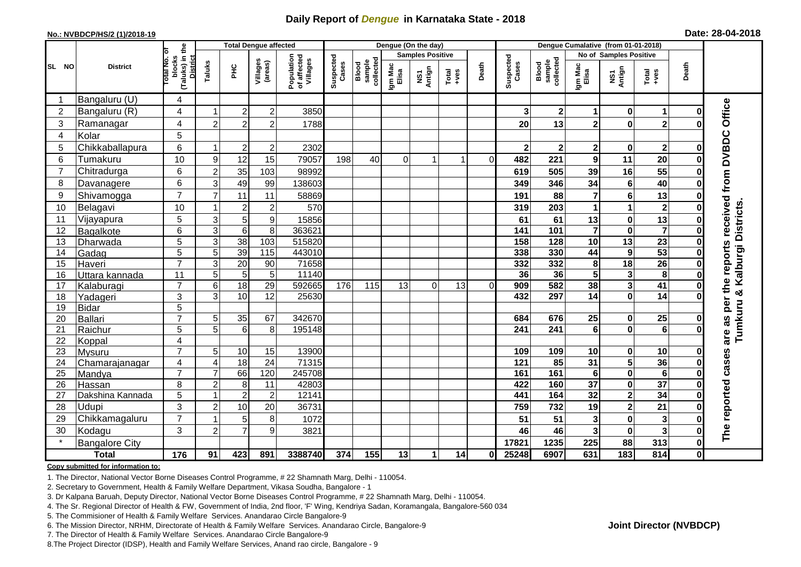## **Daily Report of** *Dengue* **in Karnataka State - 2018**

#### **No.: NVBDCP/HS/2 (1)/2018-19**

|  |  | Date: 28-04-2018 |
|--|--|------------------|
|--|--|------------------|

|                |                            |                                                   |                                  | <b>Total Dengue affected</b> |                        |                                       |                    |                              |                  | Dengue (On the day)     |                                                              |          |                    |                              |                            |                                                    |                         |               |                                            |
|----------------|----------------------------|---------------------------------------------------|----------------------------------|------------------------------|------------------------|---------------------------------------|--------------------|------------------------------|------------------|-------------------------|--------------------------------------------------------------|----------|--------------------|------------------------------|----------------------------|----------------------------------------------------|-------------------------|---------------|--------------------------------------------|
|                |                            | ō                                                 |                                  |                              |                        |                                       |                    |                              |                  | <b>Samples Positive</b> |                                                              |          |                    |                              |                            | No of Samples Positive                             |                         |               |                                            |
| SL NO          | <b>District</b>            | (Taluks) in the<br>District<br>otal No.<br>blocks | Taluks                           | $rac{C}{\pi}$                | Villages<br>(areas)    | Population<br>of affected<br>Villages | Suspected<br>Cases | sample<br>collected<br>Blood | Igm Mac<br>Elisa | NS1<br>Antign           | $\begin{array}{c}\n\text{Total} \\ \text{+ves}\n\end{array}$ | Death    | Suspected<br>Cases | Blood<br>sample<br>collected | Igm Mac<br>Elisa           | NS1<br>Antign                                      | Total<br>+ves           | Death         |                                            |
| -1             | Bangaluru (U)              | 4                                                 |                                  |                              |                        |                                       |                    |                              |                  |                         |                                                              |          |                    |                              |                            |                                                    |                         |               |                                            |
| $\overline{2}$ | Bangaluru (R)              | 4                                                 |                                  | $\overline{2}$               | $\overline{c}$         | 3850                                  |                    |                              |                  |                         |                                                              |          | 3                  | 2 <sub>1</sub>               | 1                          | $\bf{0}$                                           | $\mathbf 1$             | U             |                                            |
| 3              | Ramanagar                  | 4                                                 | $\overline{2}$                   | $\overline{2}$               | $\mathbf 2$            | 1788                                  |                    |                              |                  |                         |                                                              |          | 20                 | 13                           | $\overline{\mathbf{2}}$    | $\bf{0}$                                           | $\mathbf{2}$            | O             | Office                                     |
| 4              | Kolar                      | 5                                                 |                                  |                              |                        |                                       |                    |                              |                  |                         |                                                              |          |                    |                              |                            |                                                    |                         |               |                                            |
| 5              | Chikkaballapura            | 6                                                 | $\overline{1}$                   | $\overline{2}$               | $\overline{c}$         | 2302                                  |                    |                              |                  |                         |                                                              |          | $\mathbf{2}$       | 2 <sup>1</sup>               | $\overline{\mathbf{2}}$    | $\bf{0}$                                           | $\mathbf{2}$            | $\bf{0}$      |                                            |
| 6              | Tumakuru                   | 10                                                | 9                                | 12                           | 15                     | 79057                                 | 198                | 40                           | 0                |                         |                                                              | $\Omega$ | 482                | 221                          | 9                          | 11                                                 | 20                      | ŋ             | are as per the reports received from DVBDC |
| $\overline{7}$ | Chitradurga                | 6                                                 | $\overline{c}$                   | 35                           | 103                    | 98992                                 |                    |                              |                  |                         |                                                              |          | 619                | 505                          | 39                         | 16                                                 | 55                      | ŋ             |                                            |
| 8              | Davanagere                 | 6                                                 | 3                                | 49                           | 99                     | 138603                                |                    |                              |                  |                         |                                                              |          | 349                | 346                          | 34                         | $\bf 6$                                            | 40                      | O             |                                            |
| 9              | Shivamogga                 | $\overline{7}$                                    | $\overline{7}$                   | 11                           | 11                     | 58869                                 |                    |                              |                  |                         |                                                              |          | 191                | 88                           | 7                          | $\bf 6$                                            | 13                      | 0             |                                            |
| 10             | Belagavi                   | 10                                                |                                  | $\overline{2}$               | $\overline{2}$         | 570                                   |                    |                              |                  |                         |                                                              |          | 319                | 203                          | 1                          | 1                                                  | $\mathbf{2}$            |               | Kalburgi Districts                         |
| 11             | Vijayapura                 | 5                                                 | $\mathsf 3$                      | 5                            | 9                      | 15856                                 |                    |                              |                  |                         |                                                              |          | 61                 | 61                           | 13                         | $\pmb{0}$                                          | 13                      | 0             |                                            |
| 12             | Bagalkote                  | 6                                                 | $\ensuremath{\mathsf{3}}$        | $\overline{6}$               | 8                      | 363621                                |                    |                              |                  |                         |                                                              |          | 141                | 101                          | $\overline{\mathbf{7}}$    | $\mathbf 0$                                        | $\overline{\mathbf{7}}$ | $\bf{0}$      |                                            |
| 13             | Dharwada                   | 5                                                 | $\overline{3}$                   | 38                           | $\frac{103}{2}$        | 515820                                |                    |                              |                  |                         |                                                              |          | 158                | 128                          | $\overline{10}$            | $\overline{13}$                                    | 23                      | 0             |                                            |
| 14             | Gadag                      | $\overline{5}$                                    | $\overline{5}$                   | 39                           | $\frac{115}{115}$      | 443010                                |                    |                              |                  |                         |                                                              |          | 338                | 330                          | 44                         | $\overline{9}$                                     | 53                      | O             |                                            |
| 15             | Haveri                     | $\overline{7}$                                    | 3                                | 20                           | 90                     | 71658                                 |                    |                              |                  |                         |                                                              |          | 332                | 332                          | 8                          | 18                                                 | 26                      | 0             |                                            |
| 16             | Uttara kannada             | 11                                                | 5                                | $\overline{5}$               | $5\,$                  | 11140                                 |                    |                              |                  |                         |                                                              |          | 36                 | 36                           | 5                          | $\mathbf{3}$                                       | $\overline{\mathbf{8}}$ | $\Omega$      |                                            |
| 17             | Kalaburagi                 | $\overline{7}$                                    | $6\phantom{1}6$                  | 18                           | $\overline{29}$        | 592665                                | 176                | 115                          | 13               | $\Omega$                | 13                                                           | 0l       | 909                | 582                          | 38                         | $\overline{\mathbf{3}}$                            | 41                      | $\bf{0}$      |                                            |
| 18             | Yadageri                   | 3                                                 | 3                                | 10                           | 12                     | 25630                                 |                    |                              |                  |                         |                                                              |          | 432                | 297                          | 14                         | $\mathbf 0$                                        | 14                      |               |                                            |
| 19             | <b>Bidar</b>               | 5                                                 |                                  |                              |                        |                                       |                    |                              |                  |                         |                                                              |          |                    |                              |                            |                                                    |                         |               |                                            |
| 20             | <b>Ballari</b>             | $\overline{7}$                                    | 5                                | 35                           | 67                     | 342670                                |                    |                              |                  |                         |                                                              |          | 684                | 676                          | 25                         | $\mathbf 0$                                        | 25                      | O             |                                            |
| 21             | Raichur                    | 5                                                 | 5                                | $6\phantom{1}6$              | 8                      | 195148                                |                    |                              |                  |                         |                                                              |          | 241                | 241                          | 6                          | $\bf{0}$                                           | 6                       |               | Tumkuru &                                  |
| 22             | Koppal                     | $\overline{\mathbf{4}}$                           |                                  |                              |                        |                                       |                    |                              |                  |                         |                                                              |          |                    |                              |                            |                                                    |                         |               |                                            |
| 23             | Mysuru                     | $\overline{7}$                                    | 5                                | 10                           | 15                     | 13900                                 |                    |                              |                  |                         |                                                              |          | 109                | 109                          | 10                         | 0                                                  | 10                      | 0             |                                            |
| 24             | Chamarajanagar             | $\overline{4}$<br>$\overline{7}$                  | $\overline{4}$<br>$\overline{7}$ | 18<br>66                     | $\overline{24}$<br>120 | 71315<br>245708                       |                    |                              |                  |                         |                                                              |          | 121<br>161         | 85<br>161                    | $\overline{31}$<br>$\bf 6$ | $\overline{\mathbf{5}}$<br>$\overline{\mathbf{0}}$ | 36<br>$\overline{6}$    | 0<br>$\bf{0}$ |                                            |
| 25<br>26       | Mandya                     | 8                                                 | $\overline{2}$                   | 8                            | 11                     | 42803                                 |                    |                              |                  |                         |                                                              |          | 422                | 160                          | $\overline{37}$            | $\mathbf 0$                                        | $\overline{37}$         | $\bf{0}$      |                                            |
| 27             | Hassan<br>Dakshina Kannada | 5                                                 | 1                                | $\overline{2}$               | $\overline{c}$         | 12141                                 |                    |                              |                  |                         |                                                              |          | 441                | 164                          | $\overline{32}$            | $\mathbf{2}$                                       | $\overline{34}$         | 0             |                                            |
| 28             | Udupi                      | 3                                                 | $\overline{c}$                   | 10                           | 20                     | 36731                                 |                    |                              |                  |                         |                                                              |          | 759                | 732                          | 19                         | $\mathbf{2}$                                       | 21                      | $\bf{0}$      |                                            |
| 29             | Chikkamagaluru             | $\overline{7}$                                    |                                  | 5                            | 8                      | 1072                                  |                    |                              |                  |                         |                                                              |          | 51                 | 51                           | 3                          | $\mathbf 0$                                        | 3                       | U             |                                            |
| 30             | Kodagu                     | 3                                                 | $\overline{2}$                   | $\overline{7}$               | 9                      | 3821                                  |                    |                              |                  |                         |                                                              |          | 46                 | 46                           | 3                          | $\mathbf 0$                                        | $\overline{\mathbf{3}}$ | ŋ             | The reported cases                         |
|                | <b>Bangalore City</b>      |                                                   |                                  |                              |                        |                                       |                    |                              |                  |                         |                                                              |          | 17821              | 1235                         | 225                        | $\overline{88}$                                    | 313                     | $\mathbf 0$   |                                            |
|                | <b>Total</b>               | 176                                               | 91                               | 423                          | 891                    | 3388740                               | 374                | 155                          | 13               | 1                       | 14                                                           | 0I       | 25248              | 6907                         | 631                        | $\frac{1}{183}$                                    | 814                     | $\mathbf{0}$  |                                            |
|                |                            |                                                   |                                  |                              |                        |                                       |                    |                              |                  |                         |                                                              |          |                    |                              |                            |                                                    |                         |               |                                            |

#### **Copy submitted for information to:**

1. The Director, National Vector Borne Diseases Control Programme, # 22 Shamnath Marg, Delhi - 110054.

2. Secretary to Government, Health & Family Welfare Department, Vikasa Soudha, Bangalore - 1

3. Dr Kalpana Baruah, Deputy Director, National Vector Borne Diseases Control Programme, # 22 Shamnath Marg, Delhi - 110054.

4. The Sr. Regional Director of Health & FW, Government of India, 2nd floor, 'F' Wing, Kendriya Sadan, Koramangala, Bangalore-560 034

5. The Commisioner of Health & Family Welfare Services. Anandarao Circle Bangalore-9

6. The Mission Director, NRHM, Directorate of Health & Family Welfare Services. Anandarao Circle, Bangalore-9

7. The Director of Health & Family Welfare Services. Anandarao Circle Bangalore-9

8.The Project Director (IDSP), Health and Family Welfare Services, Anand rao circle, Bangalore - 9